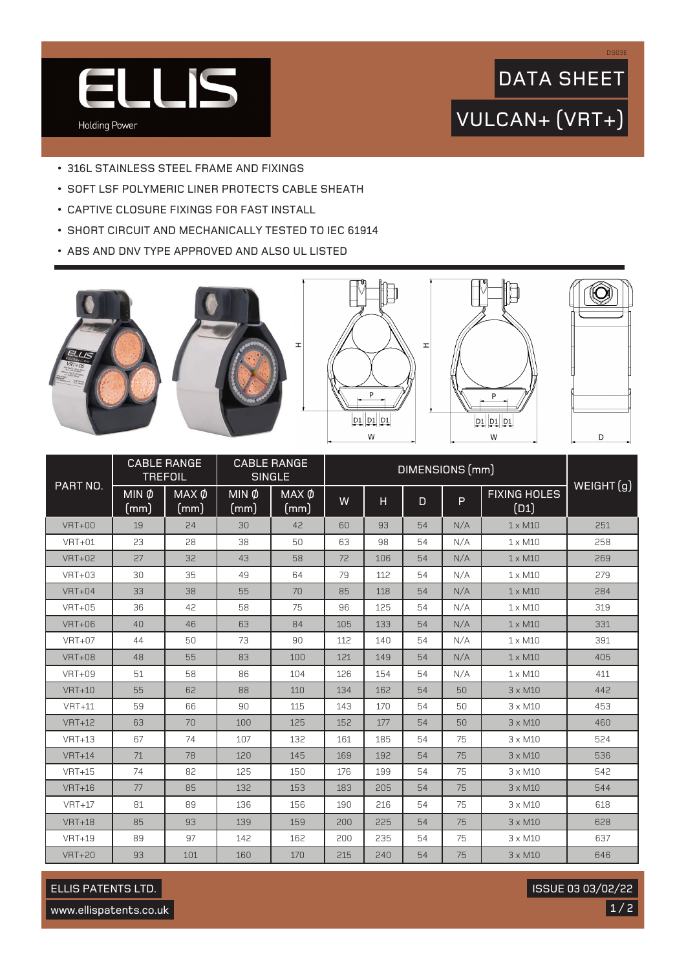

## VULCAN+ (VRT+) DATA SHEET

- 316L STAINLESS STEEL FRAME AND FIXINGS
- SOFT LSF POLYMERIC LINER PROTECTS CABLE SHEATH
- CAPTIVE CLOSURE FIXINGS FOR FAST INSTALL
- SHORT CIRCUIT AND MECHANICALLY TESTED TO IEC 61914
- ABS AND DNV TYPE APPROVED AND ALSO UL LISTED









DS03E

| PART NO.      | <b>CABLE RANGE</b><br><b>TREFOIL</b> |                      | <b>CABLE RANGE</b><br><b>SINGLE</b> |                      | DIMENSIONS (mm) |     |              |     |                             | WEIGHT(g) |
|---------------|--------------------------------------|----------------------|-------------------------------------|----------------------|-----------------|-----|--------------|-----|-----------------------------|-----------|
|               | $MIN$ $\phi$<br>(mm)                 | $MAX$ $\phi$<br>(mm) | $MIN$ $\phi$<br>(mm)                | $MAX$ $\phi$<br>(mm) | W               | H   | $\mathsf{D}$ | P   | <b>FIXING HOLES</b><br>(D1) |           |
| <b>VRT+00</b> | 19                                   | 24                   | 30                                  | 42                   | 60              | 93  | 54           | N/A | $1 \times M10$              | 251       |
| $VRT+01$      | 23                                   | 28                   | 38                                  | 50                   | 63              | 98  | 54           | N/A | $1 \times M10$              | 258       |
| <b>VRT+02</b> | 27                                   | 32                   | 43                                  | 58                   | 72              | 106 | 54           | N/A | $1 \times M10$              | 269       |
| $VRT+03$      | 30                                   | 35                   | 49                                  | 64                   | 79              | 112 | 54           | N/A | $1 \times M10$              | 279       |
| $VRT+04$      | 33                                   | 38                   | 55                                  | 70                   | 85              | 118 | 54           | N/A | $1 \times M10$              | 284       |
| $VRT+05$      | 36                                   | 42                   | 58                                  | 75                   | 96              | 125 | 54           | N/A | $1 \times M10$              | 319       |
| $VRT+06$      | 40                                   | 46                   | 63                                  | 84                   | 105             | 133 | 54           | N/A | $1 \times M10$              | 331       |
| <b>VRT+07</b> | 44                                   | 50                   | 73                                  | 90                   | 112             | 140 | 54           | N/A | $1 \times M10$              | 391       |
| <b>VRT+08</b> | 48                                   | 55                   | 83                                  | 100                  | 121             | 149 | 54           | N/A | $1 \times M10$              | 405       |
| <b>VRT+09</b> | 51                                   | 58                   | 86                                  | 104                  | 126             | 154 | 54           | N/A | $1 \times M10$              | 411       |
| $VRT+10$      | 55                                   | 62                   | 88                                  | 110                  | 134             | 162 | 54           | 50  | $3 \times M10$              | 442       |
| $VRT+11$      | 59                                   | 66                   | 90                                  | 115                  | 143             | 170 | 54           | 50  | $3 \times M10$              | 453       |
| $VRT+12$      | 63                                   | 70                   | 100                                 | 125                  | 152             | 177 | 54           | 50  | $3 \times M10$              | 460       |
| $VRT+13$      | 67                                   | 74                   | 107                                 | 132                  | 161             | 185 | 54           | 75  | $3 \times M10$              | 524       |
| $VRT+14$      | 71                                   | 78                   | 120                                 | 145                  | 169             | 192 | 54           | 75  | $3 \times M10$              | 536       |
| $VRT+15$      | 74                                   | 82                   | 125                                 | 150                  | 176             | 199 | 54           | 75  | $3 \times M10$              | 542       |
| $VRT+16$      | 77                                   | 85                   | 132                                 | 153                  | 183             | 205 | 54           | 75  | $3 \times M10$              | 544       |
| $VRT+17$      | 81                                   | 89                   | 136                                 | 156                  | 190             | 216 | 54           | 75  | $3 \times M10$              | 618       |
| $VRT+18$      | 85                                   | 93                   | 139                                 | 159                  | 200             | 225 | 54           | 75  | $3 \times M10$              | 628       |
| $VRT+19$      | 89                                   | 97                   | 142                                 | 162                  | 200             | 235 | 54           | 75  | $3 \times M10$              | 637       |
| <b>VRT+20</b> | 93                                   | 101                  | 160                                 | 170                  | 215             | 240 | 54           | 75  | $3 \times M10$              | 646       |

ELLIS PATENTS LTD.

 $1/2$ ISSUE 03 03/02/22

www.ellispatents.co.uk